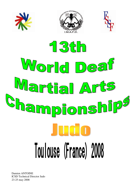







Damien ANTOINE ICSD Technical Director Judo 23-25 may 2008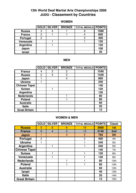## **13th World Deaf Martial Arts Championships 2008 JUDO - Classement by Countries**

|               |   | GOLD   SILVER | <b>BRONZE</b> | <b>TOTAL MEDALS POINTS</b> |      |
|---------------|---|---------------|---------------|----------------------------|------|
| <b>Russia</b> | o |               |               |                            | 1580 |
| <b>France</b> |   |               |               |                            | 600  |
| Portugal      |   |               |               |                            | 400  |
| Venezuela     |   |               |               |                            | 120  |
| Argentina     |   |               |               |                            | 120  |
| Japon         |   |               |               |                            | 100  |
| <b>Israel</b> |   |               |               |                            | 40   |

## **WOMEN**

#### **MEN**

|                      | <b>GOLD</b>    | <b>SILVER</b> | <b>BRONZE</b> | <b>TOTAL MEDALS POINTS</b> |      |
|----------------------|----------------|---------------|---------------|----------------------------|------|
| <b>France</b>        |                | 3             | 2             |                            | 1540 |
| <b>Russia</b>        | $\overline{2}$ | 4             | 5             |                            | 1420 |
| Japon                |                |               | 4             |                            | 660  |
| <b>Ukraine</b>       |                |               |               |                            | 240  |
| <b>Chinese Tapei</b> |                |               |               |                            | 140  |
| <b>Suisse</b>        |                |               |               |                            | 120  |
| Argentina            |                |               |               |                            | 120  |
| <b>Nederlands</b>    |                |               |               |                            | 80   |
| <b>Poland</b>        |                |               |               |                            | 80   |
| <b>Australie</b>     |                |               |               |                            | 60   |
| <b>Italie</b>        |                |               |               |                            | 20   |
| <b>Great Britain</b> |                |               |               |                            | 12   |

### **WOMEN & MEN**

|                      | <b>GOLD</b>    | <b>SILVER</b>  | <b>BRONZE</b> | <b>TOTAL MEDALS</b> | <b>POINTS</b> | <b>Classt</b>    |
|----------------------|----------------|----------------|---------------|---------------------|---------------|------------------|
| <b>Russia</b>        | 5              | 8              | 6             | 19                  | 3000          | 1st              |
| <b>France</b>        | 6              | $\overline{4}$ | 3             | 13                  | 2140          | 2nd              |
| <b>Japon</b>         | 1              |                | 4             | 5                   | 760           | 3th              |
| Portugal             | $\overline{2}$ |                |               | $\overline{2}$      | 400           | 4th              |
| <b>Ukraine</b>       | 1              |                |               |                     | 240           | 5th              |
| Argentina            |                | 1              |               |                     | 240           | 5th              |
| <b>Chinese Tapei</b> |                |                |               |                     | 140           | 7th              |
| <b>Suisse</b>        |                | 1              |               |                     | 120           | 8th              |
| Venezuela            |                | 1              |               |                     | 120           | 8th              |
| <b>Nederlands</b>    |                |                |               |                     | 80            | 10th             |
| <b>Poland</b>        |                |                |               |                     | 80            | 10th             |
| <b>Australie</b>     |                |                |               |                     | 60            | 12 <sub>th</sub> |
| <b>Israel</b>        |                |                |               |                     | 40            | 13th             |
| <b>Italie</b>        |                |                |               |                     | 20            | 14 <sub>th</sub> |
| <b>Great Britain</b> |                |                |               |                     | 12            | 15th             |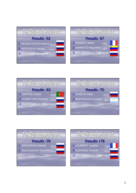









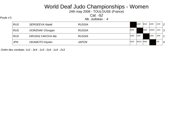24th may 2008 - TOULOUSE (France)

Cat. -52

Poule n°1<br>Nb. Judokas : 4

| <b>RUS</b> | <b>SERGEEVA Natali</b> | <b>RUSSIA</b> |      | 1000       | 0010 | 1000  | 2/20 | $\overline{2}$ |
|------------|------------------------|---------------|------|------------|------|-------|------|----------------|
| <b>RUS</b> | OORZHAK Chovgan        | <b>RUSSIA</b> | 0000 |            | 0000 | 10201 | 1/10 | 3              |
| <b>RUS</b> | DRUSHLYAKOVA Ma        | <b>RUSSIA</b> | 1000 | 1000       |      | 1000  | 3/30 | 1              |
| <b>JPN</b> | OKAMOTO Kiyoko         | <b>JAPON</b>  | 0100 | 00012 0000 |      |       | O/O  | 4              |

Ordre des combats: 1x2 - 3x4 - 1x3 - 2x4 - 1x4 - 2x3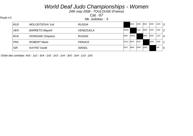24th may 2008 - TOULOUSE (France)

Cat. -57

Poule n°1<br>Nb. Judokas : 5 <u>Alexander New Step 2008</u>

| <b>RUS</b> | <b>MOLODTSOVA Yuli</b> | <b>RUSSIA</b>    |       | 0010  | 1000 | 0001 | 1000 | 2/20 | 3              |
|------------|------------------------|------------------|-------|-------|------|------|------|------|----------------|
| <b>VEN</b> | <b>BARRETO Mayerli</b> | <b>VENEZUELA</b> | 10102 |       | 1111 | 0000 | 1020 | 3/30 | $\overline{2}$ |
| <b>RUS</b> | <b>OORZHAK Chayana</b> | <b>RUSSIA</b>    | 0000  | 00001 |      | 0000 | 0202 | 1/10 | $\overline{4}$ |
| FRA        | <b>ROBERT Marie</b>    | <b>FRANCE</b>    | 10111 | 0010  | 1001 |      | 1000 | 4/35 | $\mathcal I$   |
| ISR        | <b>KAYFEI Vardit</b>   | <b>ISRAEL</b>    | 0010  | 0000  | 0000 | 0000 |      | O/O  | 5              |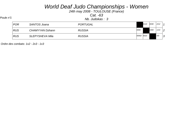24th may 2008 - TOULOUSE (France)

Cat. -63

Poule n°1<br>Nb. Judokas : 3

| POR | <b>SANTOS Joana</b> | <b>PORTUGAL</b> |            | 0110 | 0030 | 2/12 |             |
|-----|---------------------|-----------------|------------|------|------|------|-------------|
| RUS | CHAMYYAN Dzhann     | <b>RUSSIA</b>   | 0000       |      | 1000 | 1/10 | $ 2\rangle$ |
| RUS | SLEPYSHEVA Mila     | <b>RUSSIA</b>   | 00002 0010 |      |      | 0/0  | ົດ<br>J.    |

Ordre des combats: 1x2 - 2x3 - 1x3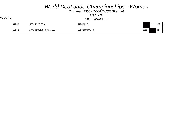24th may 2008 - TOULOUSE (France)

Cat. -70

Poule n°1<br>Nb. Judokas : 2

| <b>RUS</b> | 4TAEVA Zaira           | <i><b>RUSSIA</b></i> |      | 1010 | 1/10 |            |
|------------|------------------------|----------------------|------|------|------|------------|
| ARG        | <b>MONTEGGIA Susan</b> | <b>ARGENTINA</b>     | 0000 |      | O/O  | $\sqrt{2}$ |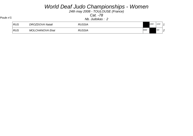24th may 2008 - TOULOUSE (France)

Cat. -78

Poule n°1<br>Nb. Judokas : 2

| RUS   | DROZDOVA Natali        | <b>RUSSIA</b> |      | 1000 | 1/10 |        |
|-------|------------------------|---------------|------|------|------|--------|
| ∣ RUS | <b>MOLCHANOVA Ekat</b> | <b>RUSSIA</b> | 0000 |      | 0/0  | $\sim$ |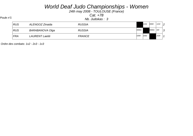24th may 2008 - TOULOUSE (France)

Cat. +78

Poule n°1<br>Nb. Judokas : 3

| RUS        | ALENGOZ Zinaida | <b>RUSSIA</b> |       | 1101 | 0000  | 1/10 | ၇                      |
|------------|-----------------|---------------|-------|------|-------|------|------------------------|
| RUS        | BARABANOVA Olga | <b>RUSSIA</b> | 00001 |      | 00001 | 0/0  | $\mathbf{\Omega}$<br>ت |
| <b>FRA</b> | LAURENT Laetiti | <b>FRANCE</b> | 1000  | 1002 |       | 2/20 |                        |

Ordre des combats: 1x2 - 2x3 - 1x3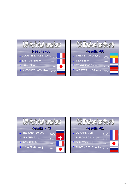



| 13th World deaf martial arts |            |  |  |  |  |  |  |  |
|------------------------------|------------|--|--|--|--|--|--|--|
| <b>Results - 73</b>          |            |  |  |  |  |  |  |  |
| 1. BELYAEV Sergey            | <b>RUS</b> |  |  |  |  |  |  |  |
| 2. JENZER Jonas              | <b>SUI</b> |  |  |  |  |  |  |  |
| 3. ROY Frédéric              | <b>FRA</b> |  |  |  |  |  |  |  |
| 3. MIYAYAMA Kenji            | <b>JPN</b> |  |  |  |  |  |  |  |

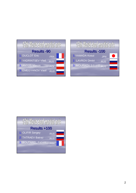



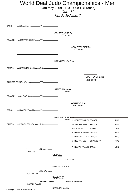24th may 2008 - TOULOUSE (France)

Cat. -60 Nb. de Judokas: 7

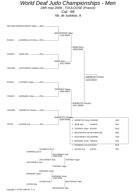24th may 2008 - TOULOUSE (France)

Cat. -66 Nb. de Judokas: 8



Copyright © FFJDA 1986-95 - F.I.J.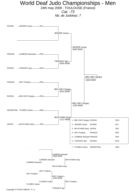24th may 2008 - TOULOUSE (France)

Cat. -73 Nb. de Judokas: 7

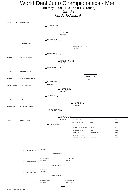24th may 2008 - TOULOUSE (France)

Cat. -81 Nb. de Judokas: 9

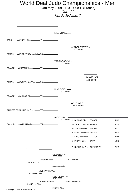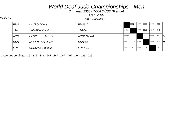24th may 2008 - TOULOUSE (France)

Cat. -100

Poule n°1<br>Nb. Judokas : 5 <u>Alexander New Step 2008</u>

| <b>RUS</b> | <b>LAVROV Dmitry</b>   | <b>RUSSIA</b>    |            | 0001  | 1000 | 0200 | 00001 | 2/20 | 2              |
|------------|------------------------|------------------|------------|-------|------|------|-------|------|----------------|
| <b>JPN</b> | YAMADA Kosui           | <b>JAPON</b>     | 11011      |       | 1000 | 1101 | 1010  | 4/40 | $\mathcal I$   |
| ARG        | <b>CESPEDES Nelson</b> | <b>ARGENTINA</b> | 0000A 0000 |       |      | 0000 | 0000  | O/O  | $\overline{5}$ |
| RUS        | <b>MOURAOV</b> Eduard  | <b>RUSSIA</b>    | 0001       | 00001 | 0200 |      | 10001 | 2/20 | 3              |
| <b>FRA</b> | <b>CRESPO Sebastie</b> | <b>FRANCE</b>    | 1002       | 0010  | 1000 | 0001 |       | 2/20 | $\overline{4}$ |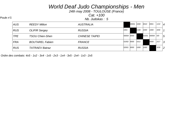24th may 2008 - TOULOUSE (France)

Cat. +100

Poule n°1<br>Nb. Judokas : 5 <u>Alexander New Step 2008</u>

| <b>AUS</b> | <b>REEDY Milton</b>    | <b>AUSTRALIA</b>      |            | 00001 | 1000 | 0010  | 0001  | 1/10 | $\overline{4}$ |
|------------|------------------------|-----------------------|------------|-------|------|-------|-------|------|----------------|
| <b>RUS</b> | <b>OLIFIR Sergey</b>   | <b>RUSSIA</b>         | 1001       |       | 1100 | 1000  | 1000  | 4/40 | $\mathcal I$   |
| <b>TPE</b> | <b>TSOU Chien-Shen</b> | <b>CHINESE TAIPEI</b> | 0000A 0000 |       |      | 01001 | 0000A | 0/0  | 5              |
| <b>FRA</b> | <b>BOUTAREL Fabien</b> | <b>FRANCE</b>         | 01002 0000 |       | 1011 |       | 0000  | 2/17 | 3              |
| <b>RUS</b> | <b>TATRAEV Batraz</b>  | <b>RUSSIA</b>         | 02001      | 0000  | 1000 | 1000  |       | 3/30 | $\overline{c}$ |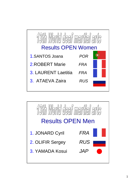

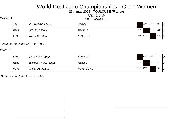25th may 2008 - TOULOUSE (France)

Cat. Op W

Poule n°1<br>
Nb. Judokas : 6

| <b>JPN</b> | OKAMOTO Kiyoko      | <b>JAPON</b>  |      | 0000 | 0000 | O/O  | 3             |
|------------|---------------------|---------------|------|------|------|------|---------------|
| <b>RUS</b> | ATAEVA Zaira        | <b>RUSSIA</b> | 1010 |      | 0000 | 1/10 | $\mathcal{P}$ |
| <b>FRA</b> | <b>ROBERT Marie</b> | <b>FRANCE</b> | 1000 | 1011 |      | 2/20 |               |

Ordre des combats: 1x2 - 2x3 - 1x3

#### Poule n°2

| <b>FRA</b> | <b>LAURENT Laetiti</b> | <b>FRANCE</b>   |      | 1010 | 0000 | 1/10 | $\overline{2}$ |
|------------|------------------------|-----------------|------|------|------|------|----------------|
| <b>RUS</b> | BARABANOVA Olga        | <b>RUSSIA</b>   | 0000 |      | 0000 | O/O  | 3              |
| <b>POR</b> | <b>SANTOS Joana</b>    | <b>PORTUGAL</b> | 1021 | 1000 |      | 2/20 |                |

Ordre des combats: 1x2 - 2x3 - 1x3

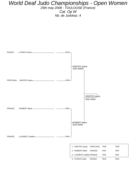25th may 2008 - TOULOUSE (France) Cat. Op W Nb. de Judokas: 4



| 1 - SANTOS Joana PORTUGAL POR |        |            | <b>POR</b> |
|-------------------------------|--------|------------|------------|
| 2 - ROBERT Marie FRANCE       |        | <b>FRA</b> | FRA        |
| 3 - LAURENT Laetitia FRANCE   |        | <b>FRA</b> | FRA        |
| 3 - ATAEVA Zaira              | RUSSIA | <b>RUS</b> | <b>RUS</b> |